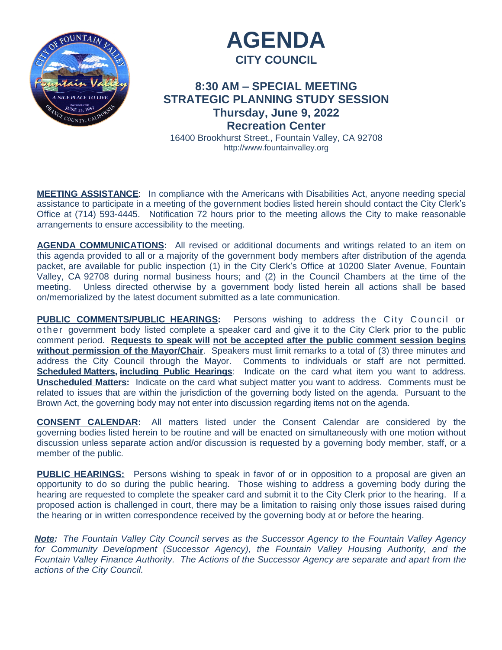



# **8:30 AM – SPECIAL MEETING STRATEGIC PLANNING STUDY SESSION Thursday, June 9, 2022 Recreation Center**

16400 Brookhurst Street., Fountain Valley, CA 92708 <http://www.fountainvalley.org>

**MEETING ASSISTANCE**: In compliance with the Americans with Disabilities Act, anyone needing special assistance to participate in a meeting of the government bodies listed herein should contact the City Clerk's Office at (714) 593-4445. Notification 72 hours prior to the meeting allows the City to make reasonable arrangements to ensure accessibility to the meeting.

**AGENDA COMMUNICATIONS:** All revised or additional documents and writings related to an item on this agenda provided to all or a majority of the government body members after distribution of the agenda packet, are available for public inspection (1) in the City Clerk's Office at 10200 Slater Avenue, Fountain Valley, CA 92708 during normal business hours; and (2) in the Council Chambers at the time of the meeting. Unless directed otherwise by a government body listed herein all actions shall be based on/memorialized by the latest document submitted as a late communication.

**PUBLIC COMMENTS/PUBLIC HEARINGS:** Persons wishing to address the City Council or other government body listed complete a speaker card and give it to the City Clerk prior to the public comment period. **Requests to speak will not be accepted after the public comment session begins without permission of the Mayor/Chair**. Speakers must limit remarks to a total of (3) three minutes and address the City Council through the Mayor. Comments to individuals or staff are not permitted. **Scheduled Matters, including Public Hearings**: Indicate on the card what item you want to address. **Unscheduled Matters:** Indicate on the card what subject matter you want to address. Comments must be related to issues that are within the jurisdiction of the governing body listed on the agenda. Pursuant to the Brown Act, the governing body may not enter into discussion regarding items not on the agenda.

**CONSENT CALENDAR:** All matters listed under the Consent Calendar are considered by the governing bodies listed herein to be routine and will be enacted on simultaneously with one motion without discussion unless separate action and/or discussion is requested by a governing body member, staff, or a member of the public.

**PUBLIC HEARINGS:** Persons wishing to speak in favor of or in opposition to a proposal are given an opportunity to do so during the public hearing. Those wishing to address a governing body during the hearing are requested to complete the speaker card and submit it to the City Clerk prior to the hearing. If a proposed action is challenged in court, there may be a limitation to raising only those issues raised during the hearing or in written correspondence received by the governing body at or before the hearing.

*Note: The Fountain Valley City Council serves as the Successor Agency to the Fountain Valley Agency for Community Development (Successor Agency), the Fountain Valley Housing Authority, and the Fountain Valley Finance Authority. The Actions of the Successor Agency are separate and apart from the actions of the City Council.*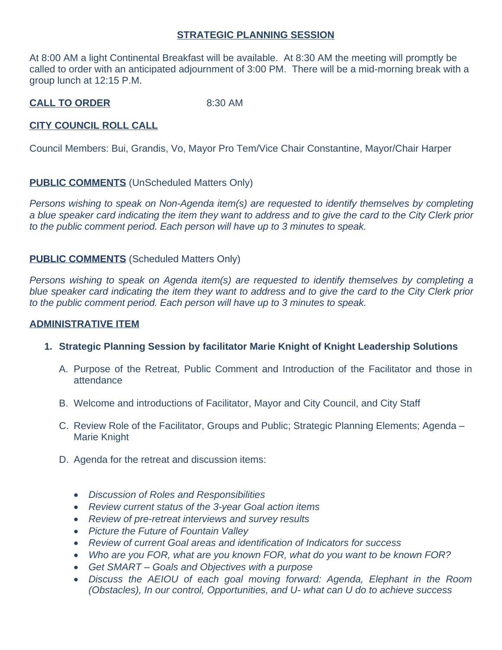#### **STRATEGIC PLANNING SESSION**

At 8:00 AM a light Continental Breakfast will be available. At 8:30 AM the meeting will promptly be called to order with an anticipated adjournment of 3:00 PM. There will be a mid-morning break with a group lunch at 12:15 P.M.

**CALL TO ORDER** 8:30 AM

## **CITY COUNCIL ROLL CALL**

Council Members: Bui, Grandis, Vo, Mayor Pro Tem/Vice Chair Constantine, Mayor/Chair Harper

**PUBLIC COMMENTS** (UnScheduled Matters Only)

*Persons wishing to speak on Non-Agenda item(s) are requested to identify themselves by completing* a blue speaker card indicating the item they want to address and to give the card to the City Clerk prior *to the public comment period. Each person will have up to 3 minutes to speak.*

### **PUBLIC COMMENTS** (Scheduled Matters Only)

*Persons wishing to speak on Agenda item(s) are requested to identify themselves by completing a* blue speaker card indicating the item they want to address and to give the card to the City Clerk prior *to the public comment period. Each person will have up to 3 minutes to speak.*

#### **ADMINISTRATIVE ITEM**

- **1. Strategic Planning Session by facilitator Marie Knight of Knight Leadership Solutions**
	- A. Purpose of the Retreat, Public Comment and Introduction of the Facilitator and those in attendance
	- B. Welcome and introductions of Facilitator, Mayor and City Council, and City Staff
	- C. Review Role of the Facilitator, Groups and Public; Strategic Planning Elements; Agenda Marie Knight
	- D. Agenda for the retreat and discussion items:
		- *Discussion of Roles and Responsibilities*
		- *Review current status of the 3-year Goal action items*
		- *Review of pre-retreat interviews and survey results*
		- *Picture the Future of Fountain Valley*
		- *Review of current Goal areas and identification of Indicators for success*
		- *Who are you FOR, what are you known FOR, what do you want to be known FOR?*
		- *Get SMART – Goals and Objectives with a purpose*
		- *Discuss the AEIOU of each goal moving forward: Agenda, Elephant in the Room (Obstacles), In our control, Opportunities, and U- what can U do to achieve success*